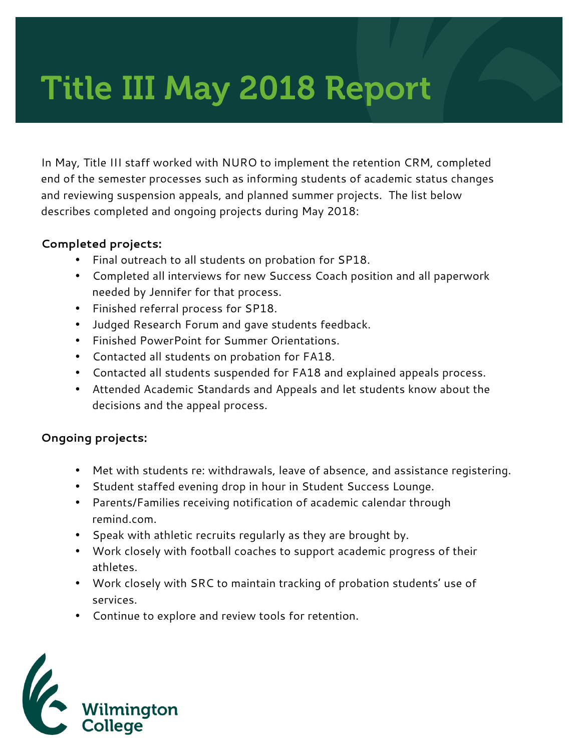# Title III May 2018 Report

In May, Title III staff worked with NURO to implement the retention CRM, completed end of the semester processes such as informing students of academic status changes and reviewing suspension appeals, and planned summer projects. The list below describes completed and ongoing projects during May 2018:

#### **Completed projects:**

- Final outreach to all students on probation for SP18.
- Completed all interviews for new Success Coach position and all paperwork needed by Jennifer for that process.
- Finished referral process for SP18.
- Judged Research Forum and gave students feedback.
- Finished PowerPoint for Summer Orientations.
- Contacted all students on probation for FA18.
- Contacted all students suspended for FA18 and explained appeals process.
- Attended Academic Standards and Appeals and let students know about the decisions and the appeal process.

### **Ongoing projects:**

- Met with students re: withdrawals, leave of absence, and assistance registering.
- Student staffed evening drop in hour in Student Success Lounge.
- Parents/Families receiving notification of academic calendar through remind.com.
- Speak with athletic recruits regularly as they are brought by.
- Work closely with football coaches to support academic progress of their athletes.
- Work closely with SRC to maintain tracking of probation students' use of services.
- Continue to explore and review tools for retention.

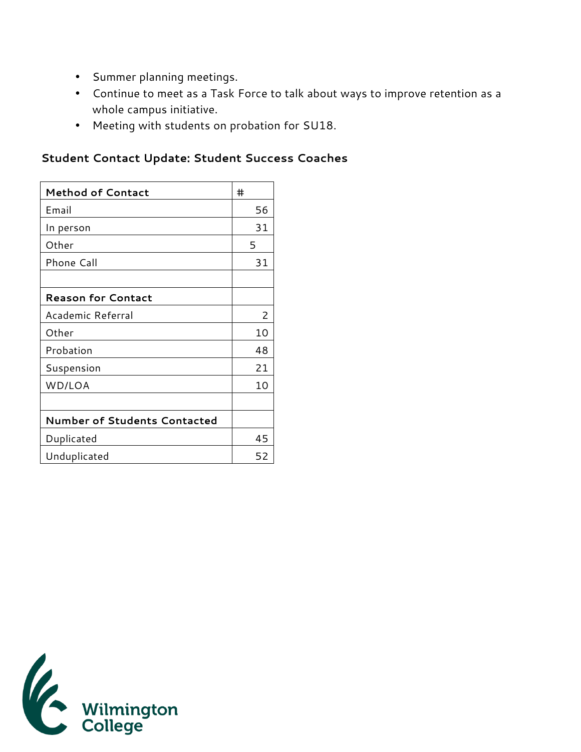- Summer planning meetings.
- Continue to meet as a Task Force to talk about ways to improve retention as a whole campus initiative.
- Meeting with students on probation for SU18.

## **Student Contact Update: Student Success Coaches**

| <b>Method of Contact</b>            | #  |
|-------------------------------------|----|
| Email                               | 56 |
| In person                           | 31 |
| Other                               | 5  |
| Phone Call                          | 31 |
|                                     |    |
| <b>Reason for Contact</b>           |    |
| Academic Referral                   | 2  |
| Other                               | 10 |
| Probation                           | 48 |
| Suspension                          | 21 |
| WD/LOA                              | 10 |
|                                     |    |
| <b>Number of Students Contacted</b> |    |
| Duplicated                          | 45 |
| Unduplicated                        | 52 |